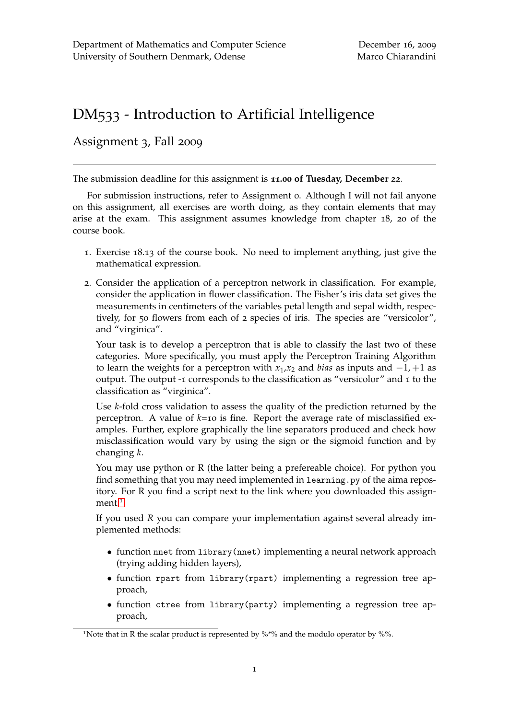## DM533 - Introduction to Artificial Intelligence

## Assignment 3, Fall 2009

The submission deadline for this assignment is **11.00 of Tuesday, December 22**.

For submission instructions, refer to Assignment 0. Although I will not fail anyone on this assignment, all exercises are worth doing, as they contain elements that may arise at the exam. This assignment assumes knowledge from chapter 18, 20 of the course book.

- 1. Exercise 18.13 of the course book. No need to implement anything, just give the mathematical expression.
- 2. Consider the application of a perceptron network in classification. For example, consider the application in flower classification. The Fisher's iris data set gives the measurements in centimeters of the variables petal length and sepal width, respectively, for 50 flowers from each of 2 species of iris. The species are "versicolor", and "virginica".

Your task is to develop a perceptron that is able to classify the last two of these categories. More specifically, you must apply the Perceptron Training Algorithm to learn the weights for a perceptron with  $x_1, x_2$  and *bias* as inputs and  $-1$ ,  $+1$  as output. The output -1 corresponds to the classification as "versicolor" and 1 to the classification as "virginica".

Use *k*-fold cross validation to assess the quality of the prediction returned by the perceptron. A value of *k*=10 is fine. Report the average rate of misclassified examples. Further, explore graphically the line separators produced and check how misclassification would vary by using the sign or the sigmoid function and by changing *k*.

You may use python or R (the latter being a prefereable choice). For python you find something that you may need implemented in learning.py of the aima repository. For R you find a script next to the link where you downloaded this assign-ment.<sup>[1](#page-0-0)</sup>

If you used *R* you can compare your implementation against several already implemented methods:

- function nnet from library(nnet) implementing a neural network approach (trying adding hidden layers),
- function rpart from library(rpart) implementing a regression tree approach,
- function ctree from library(party) implementing a regression tree approach,

<span id="page-0-0"></span><sup>&</sup>lt;sup>1</sup>Note that in R the scalar product is represented by  $\%$ <sup>\*%</sup> and the modulo operator by %%.